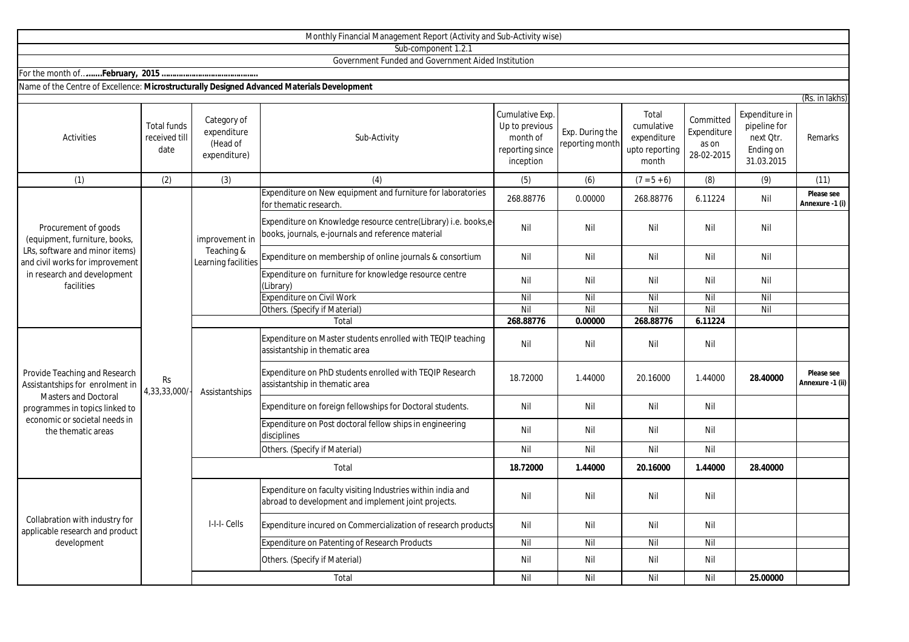|                                                                                                                                                                                          |                                             |                                                        | Monthly Financial Management Report (Activity and Sub-Activity wise)                                                  |                                                                               |                                    |                                                               |                                                 |                                                                        |                                |
|------------------------------------------------------------------------------------------------------------------------------------------------------------------------------------------|---------------------------------------------|--------------------------------------------------------|-----------------------------------------------------------------------------------------------------------------------|-------------------------------------------------------------------------------|------------------------------------|---------------------------------------------------------------|-------------------------------------------------|------------------------------------------------------------------------|--------------------------------|
|                                                                                                                                                                                          |                                             |                                                        | Sub-component 1.2.1                                                                                                   |                                                                               |                                    |                                                               |                                                 |                                                                        |                                |
|                                                                                                                                                                                          |                                             |                                                        | Government Funded and Government Aided Institution                                                                    |                                                                               |                                    |                                                               |                                                 |                                                                        |                                |
|                                                                                                                                                                                          |                                             |                                                        |                                                                                                                       |                                                                               |                                    |                                                               |                                                 |                                                                        |                                |
| Name of the Centre of Excellence: Microstructurally Designed Advanced Materials Development                                                                                              |                                             |                                                        |                                                                                                                       |                                                                               |                                    |                                                               |                                                 |                                                                        |                                |
| <b>Activities</b>                                                                                                                                                                        | <b>Total funds</b><br>received till<br>date | Category of<br>expenditure<br>(Head of<br>expenditure) | Sub-Activity                                                                                                          | Cumulative Exp.<br>Up to previous<br>month of<br>reporting since<br>inception | Exp. During the<br>reporting month | Total<br>cumulative<br>expenditure<br>upto reporting<br>month | Committed<br>Expenditure<br>as on<br>28-02-2015 | Expenditure in<br>pipeline for<br>next Qtr.<br>Ending on<br>31.03.2015 | (Rs. in lakhs)<br>Remarks      |
|                                                                                                                                                                                          |                                             |                                                        |                                                                                                                       |                                                                               |                                    |                                                               |                                                 |                                                                        |                                |
| (1)                                                                                                                                                                                      | (2)                                         | (3)                                                    | (4)                                                                                                                   | (5)                                                                           | (6)                                | $(7 = 5 + 6)$                                                 | (8)                                             | (9)                                                                    | (11)                           |
| Procurement of goods<br>(equipment, furniture, books,<br>LRs, software and minor items)<br>and civil works for improvement<br>in research and development<br>facilities                  | Rs<br>4,33,33,000/                          | improvement in<br>Teaching &<br>Learning facilities    | Expenditure on New equipment and furniture for laboratories<br>for thematic research.                                 | 268.88776                                                                     | 0.00000                            | 268.88776                                                     | 6.11224                                         | Nil                                                                    | Please see<br>Annexure -1 (i)  |
|                                                                                                                                                                                          |                                             |                                                        | Expenditure on Knowledge resource centre(Library) i.e. books,e-<br>books, journals, e-journals and reference material | Nil                                                                           | Nil                                | Nil                                                           | Nil                                             | Nil                                                                    |                                |
|                                                                                                                                                                                          |                                             |                                                        | Expenditure on membership of online journals & consortium                                                             | Nil                                                                           | Nil                                | Nil                                                           | Nil                                             | Nil                                                                    |                                |
|                                                                                                                                                                                          |                                             |                                                        | Expenditure on furniture for knowledge resource centre<br>(Library)                                                   | Nil                                                                           | Nil                                | Nil                                                           | Nil                                             | Nil                                                                    |                                |
|                                                                                                                                                                                          |                                             |                                                        | <b>Expenditure on Civil Work</b>                                                                                      | Nil                                                                           | Nil                                | Nil                                                           | Nil                                             | Nil                                                                    |                                |
|                                                                                                                                                                                          |                                             |                                                        | Others. (Specify if Material)                                                                                         | Nil                                                                           | Nil                                | Nil                                                           | Nil                                             | Nil                                                                    |                                |
|                                                                                                                                                                                          |                                             |                                                        | Total                                                                                                                 | 268.88776                                                                     | 0.00000                            | 268.88776                                                     | 6.11224                                         |                                                                        |                                |
| Provide Teaching and Research<br>Assistantships for enrolment in<br><b>Masters and Doctoral</b><br>programmes in topics linked to<br>economic or societal needs in<br>the thematic areas |                                             | Assistantships                                         | Expenditure on Master students enrolled with TEQIP teaching<br>assistantship in thematic area                         | Nil                                                                           | Nil                                | Nil                                                           | Nil                                             |                                                                        |                                |
|                                                                                                                                                                                          |                                             |                                                        | Expenditure on PhD students enrolled with TEQIP Research<br>assistantship in thematic area                            | 18.72000                                                                      | 1.44000                            | 20.16000                                                      | 1.44000                                         | 28.40000                                                               | Please see<br>Annexure -1 (ii) |
|                                                                                                                                                                                          |                                             |                                                        | Expenditure on foreign fellowships for Doctoral students.                                                             | Nil                                                                           | Nil                                | Nil                                                           | Nil                                             |                                                                        |                                |
|                                                                                                                                                                                          |                                             |                                                        | Expenditure on Post doctoral fellow ships in engineering<br>disciplines                                               | Nil                                                                           | Nil                                | Nil                                                           | Nil                                             |                                                                        |                                |
|                                                                                                                                                                                          |                                             |                                                        | Others. (Specify if Material)                                                                                         | Nil                                                                           | Nil                                | Nil                                                           | Nil                                             |                                                                        |                                |
|                                                                                                                                                                                          |                                             | Total                                                  |                                                                                                                       | 18.72000                                                                      | 1.44000                            | 20.16000                                                      | 1.44000                                         | 28.40000                                                               |                                |
| Collabration with industry for<br>applicable research and product<br>development                                                                                                         |                                             | I-I-I- Cells                                           | Expenditure on faculty visiting Industries within india and<br>abroad to development and implement joint projects.    | Nil                                                                           | Nil                                | Nil                                                           | Nil                                             |                                                                        |                                |
|                                                                                                                                                                                          |                                             |                                                        | Expenditure incured on Commercialization of research products                                                         | Nil                                                                           | Nil                                | Nil                                                           | Nil                                             |                                                                        |                                |
|                                                                                                                                                                                          |                                             |                                                        | Expenditure on Patenting of Research Products                                                                         | Nil                                                                           | Nil                                | Nil                                                           | Nil                                             |                                                                        |                                |
|                                                                                                                                                                                          |                                             |                                                        | Others. (Specify if Material)                                                                                         | Nil                                                                           | Nil                                | Nil                                                           | Nil                                             |                                                                        |                                |
|                                                                                                                                                                                          |                                             |                                                        | Total                                                                                                                 | Nil                                                                           | Nil                                | Nil                                                           | Nil                                             | 25.00000                                                               |                                |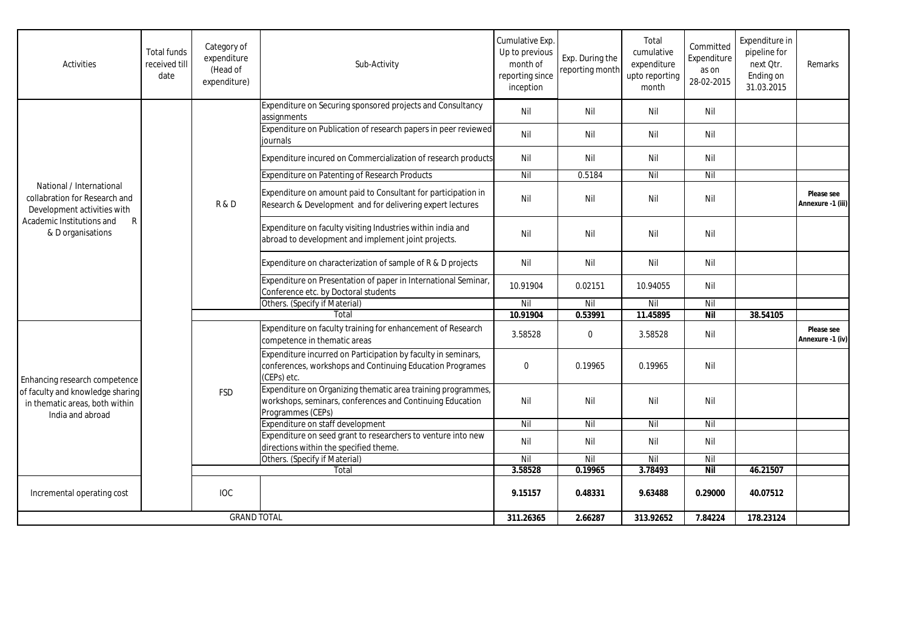| Activities                                                                                                                                                 | <b>Total funds</b><br>received till<br>date | Category of<br>expenditure<br>(Head of<br>expenditure) | Sub-Activity                                                                                                                                   | Cumulative Exp.<br>Up to previous<br>month of<br>reporting since<br>inception | Exp. During the<br>reporting month | Total<br>cumulative<br>expenditure<br>upto reporting<br>month | Committed<br>Expenditure<br>as on<br>28-02-2015 | Expenditure in<br>pipeline for<br>next Qtr.<br>Ending on<br>31.03.2015 | Remarks                         |
|------------------------------------------------------------------------------------------------------------------------------------------------------------|---------------------------------------------|--------------------------------------------------------|------------------------------------------------------------------------------------------------------------------------------------------------|-------------------------------------------------------------------------------|------------------------------------|---------------------------------------------------------------|-------------------------------------------------|------------------------------------------------------------------------|---------------------------------|
| National / International<br>collabration for Research and<br>Development activities with<br>Academic Institutions and<br>$\mathsf{R}$<br>& D organisations |                                             | R&D                                                    | Expenditure on Securing sponsored projects and Consultancy<br>assignments                                                                      | Nil                                                                           | Nil                                | Nil                                                           | Nil                                             |                                                                        |                                 |
|                                                                                                                                                            |                                             |                                                        | Expenditure on Publication of research papers in peer reviewed<br>iournals                                                                     | Nil                                                                           | Nil                                | Nil                                                           | Nil                                             |                                                                        |                                 |
|                                                                                                                                                            |                                             |                                                        | Expenditure incured on Commercialization of research products                                                                                  | Nil                                                                           | Nil                                | Nil                                                           | Nil                                             |                                                                        |                                 |
|                                                                                                                                                            |                                             |                                                        | Expenditure on Patenting of Research Products                                                                                                  | Nil                                                                           | 0.5184                             | Nil                                                           | Nil                                             |                                                                        |                                 |
|                                                                                                                                                            |                                             |                                                        | Expenditure on amount paid to Consultant for participation in<br>Research & Development and for delivering expert lectures                     | Nil                                                                           | Nil                                | Nil                                                           | Nil                                             |                                                                        | Please see<br>Annexure -1 (iii) |
|                                                                                                                                                            |                                             |                                                        | Expenditure on faculty visiting Industries within india and<br>abroad to development and implement joint projects.                             | Nil                                                                           | Nil                                | Nil                                                           | Nil                                             |                                                                        |                                 |
|                                                                                                                                                            |                                             |                                                        | Expenditure on characterization of sample of R & D projects                                                                                    | Nil                                                                           | Nil                                | Nil                                                           | Nil                                             |                                                                        |                                 |
|                                                                                                                                                            |                                             |                                                        | Expenditure on Presentation of paper in International Seminar,<br>Conference etc. by Doctoral students                                         | 10.91904                                                                      | 0.02151                            | 10.94055                                                      | Nil                                             |                                                                        |                                 |
|                                                                                                                                                            |                                             |                                                        | Others. (Specify if Material)                                                                                                                  | Nil                                                                           | Nil                                | Nil                                                           | Nil                                             |                                                                        |                                 |
|                                                                                                                                                            |                                             | Total                                                  |                                                                                                                                                | 10.91904                                                                      | 0.53991                            | 11.45895                                                      | <b>Nil</b>                                      | 38.54105                                                               |                                 |
| Enhancing research competence<br>of faculty and knowledge sharing<br>in thematic areas, both within<br>India and abroad                                    |                                             | <b>FSD</b>                                             | Expenditure on faculty training for enhancement of Research<br>competence in thematic areas                                                    | 3.58528                                                                       | $\mathbf 0$                        | 3.58528                                                       | Nil                                             |                                                                        | Please see<br>Annexure -1 (iv)  |
|                                                                                                                                                            |                                             |                                                        | Expenditure incurred on Participation by faculty in seminars,<br>conferences, workshops and Continuing Education Programes<br>(CEPs) etc.      | $\mathbf{0}$                                                                  | 0.19965                            | 0.19965                                                       | Nil                                             |                                                                        |                                 |
|                                                                                                                                                            |                                             |                                                        | Expenditure on Organizing thematic area training programmes,<br>workshops, seminars, conferences and Continuing Education<br>Programmes (CEPs) | Nil                                                                           | Nil                                | Nil                                                           | Nil                                             |                                                                        |                                 |
|                                                                                                                                                            |                                             |                                                        | Expenditure on staff development                                                                                                               | Nil                                                                           | Nil                                | Nil                                                           | Nil                                             |                                                                        |                                 |
|                                                                                                                                                            |                                             |                                                        | Expenditure on seed grant to researchers to venture into new<br>directions within the specified theme.                                         | Nil                                                                           | Nil                                | Nil                                                           | Nil                                             |                                                                        |                                 |
|                                                                                                                                                            |                                             |                                                        | Others. (Specify if Material)                                                                                                                  | Nil                                                                           | Nil                                | Nil                                                           | Nil                                             |                                                                        |                                 |
|                                                                                                                                                            |                                             |                                                        | Total                                                                                                                                          | 3.58528                                                                       | 0.19965                            | 3.78493                                                       | <b>Nil</b>                                      | 46.21507                                                               |                                 |
| Incremental operating cost                                                                                                                                 |                                             | <b>IOC</b>                                             |                                                                                                                                                | 9.15157                                                                       | 0.48331                            | 9.63488                                                       | 0.29000                                         | 40.07512                                                               |                                 |
| <b>GRAND TOTAL</b>                                                                                                                                         |                                             |                                                        | 311.26365                                                                                                                                      | 2.66287                                                                       | 313.92652                          | 7.84224                                                       | 178.23124                                       |                                                                        |                                 |